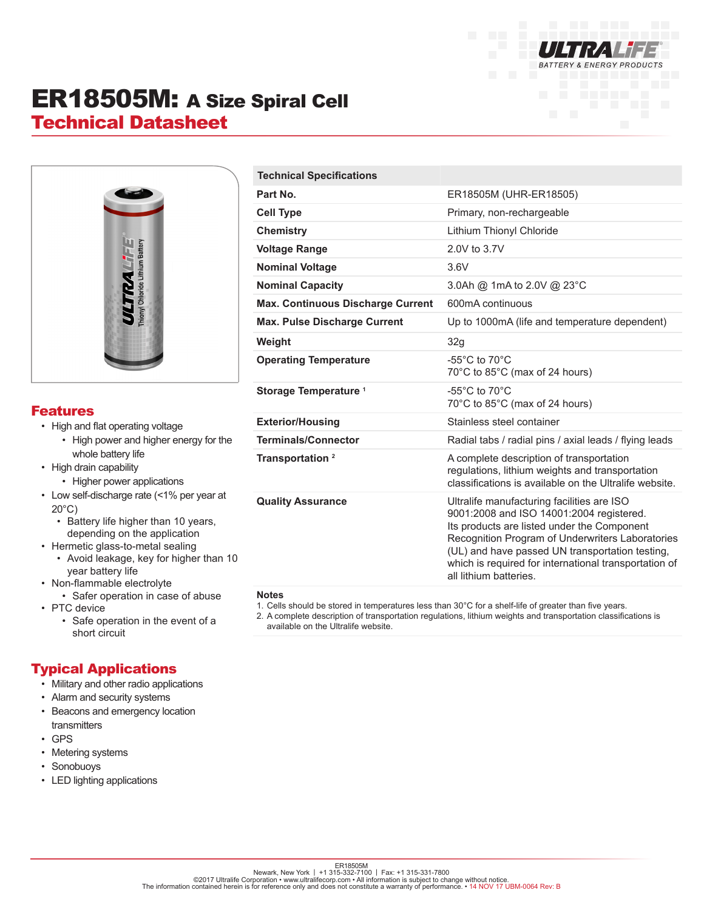

## ER18505M: A Size Spiral Cell Technical Datasheet



#### Features

- High and flat operating voltage
	- High power and higher energy for the whole battery life
- High drain capability
	- Higher power applications
- Low self-discharge rate (<1% per year at 20°C)
	- Battery life higher than 10 years, depending on the application
- Hermetic glass-to-metal sealing
	- Avoid leakage, key for higher than 10 year battery life
- Non-flammable electrolyte
	- Safer operation in case of abuse
- PTC device
	- Safe operation in the event of a short circuit

### Typical Applications

- Military and other radio applications
- Alarm and security systems
- Beacons and emergency location transmitters
- GPS
- Metering systems
- Sonobuoys
- LED lighting applications

| <b>Technical Specifications</b>          |                                                                                                                                                                                                                                                                                                                                 |
|------------------------------------------|---------------------------------------------------------------------------------------------------------------------------------------------------------------------------------------------------------------------------------------------------------------------------------------------------------------------------------|
| Part No.                                 | ER18505M (UHR-ER18505)                                                                                                                                                                                                                                                                                                          |
| <b>Cell Type</b>                         | Primary, non-rechargeable                                                                                                                                                                                                                                                                                                       |
| <b>Chemistry</b>                         | Lithium Thionyl Chloride                                                                                                                                                                                                                                                                                                        |
| <b>Voltage Range</b>                     | 2.0V to 3.7V                                                                                                                                                                                                                                                                                                                    |
| <b>Nominal Voltage</b>                   | 3.6V                                                                                                                                                                                                                                                                                                                            |
| <b>Nominal Capacity</b>                  | 3.0Ah @ 1mA to 2.0V @ 23°C                                                                                                                                                                                                                                                                                                      |
| <b>Max. Continuous Discharge Current</b> | 600mA continuous                                                                                                                                                                                                                                                                                                                |
| <b>Max. Pulse Discharge Current</b>      | Up to 1000mA (life and temperature dependent)                                                                                                                                                                                                                                                                                   |
| Weight                                   | 32g                                                                                                                                                                                                                                                                                                                             |
| <b>Operating Temperature</b>             | $-55^{\circ}$ C to $70^{\circ}$ C<br>70°C to 85°C (max of 24 hours)                                                                                                                                                                                                                                                             |
| Storage Temperature <sup>1</sup>         | $-55^{\circ}$ C to $70^{\circ}$ C<br>70°C to 85°C (max of 24 hours)                                                                                                                                                                                                                                                             |
| <b>Exterior/Housing</b>                  | Stainless steel container                                                                                                                                                                                                                                                                                                       |
| <b>Terminals/Connector</b>               | Radial tabs / radial pins / axial leads / flying leads                                                                                                                                                                                                                                                                          |
| Transportation <sup>2</sup>              | A complete description of transportation<br>regulations, lithium weights and transportation<br>classifications is available on the Ultralife website.                                                                                                                                                                           |
| <b>Quality Assurance</b>                 | Ultralife manufacturing facilities are ISO<br>9001:2008 and ISO 14001:2004 registered.<br>Its products are listed under the Component<br>Recognition Program of Underwriters Laboratories<br>(UL) and have passed UN transportation testing,<br>which is required for international transportation of<br>all lithium batteries. |

#### **Notes**

- 1. Cells should be stored in temperatures less than 30°C for a shelf-life of greater than five years.
- 2. A complete description of transportation regulations, lithium weights and transportation classifications is available on the Ultralife website.